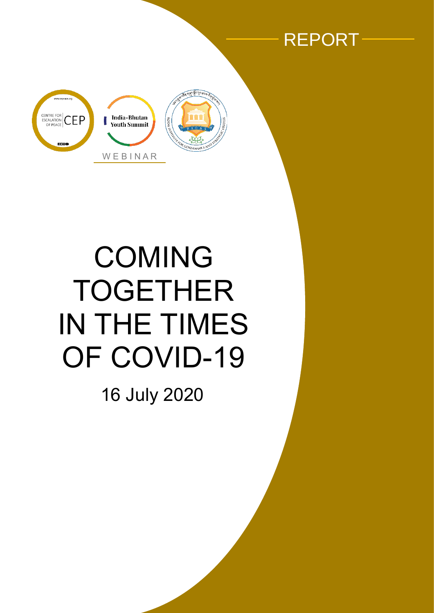



# COMING TOGETHER IN THE TIMES OF COVID-19

16 July 2020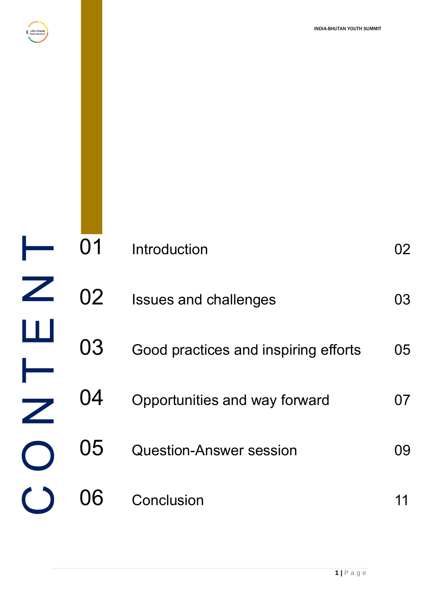

<span id="page-1-0"></span>

| 01 | Introduction                         | 02 |
|----|--------------------------------------|----|
| 02 | <b>Issues and challenges</b>         | 03 |
| 03 | Good practices and inspiring efforts | 05 |
| 04 | Opportunities and way forward        | 07 |
| 05 | <b>Question-Answer session</b>       | 09 |
|    | Conclusion                           | 11 |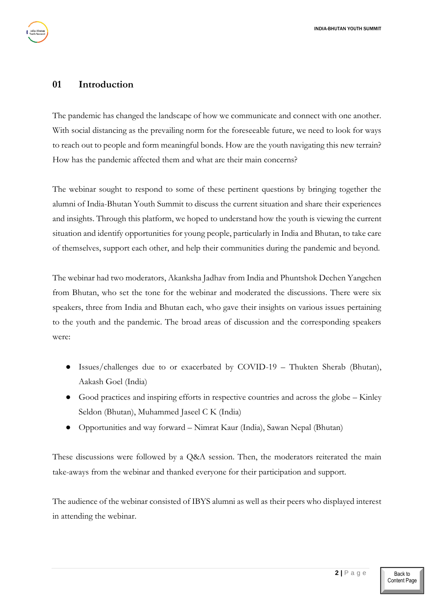#### <span id="page-2-0"></span>**01 Introduction**

The pandemic has changed the landscape of how we communicate and connect with one another. With social distancing as the prevailing norm for the foreseeable future, we need to look for ways to reach out to people and form meaningful bonds. How are the youth navigating this new terrain? How has the pandemic affected them and what are their main concerns?

The webinar sought to respond to some of these pertinent questions by bringing together the alumni of India-Bhutan Youth Summit to discuss the current situation and share their experiences and insights. Through this platform, we hoped to understand how the youth is viewing the current situation and identify opportunities for young people, particularly in India and Bhutan, to take care of themselves, support each other, and help their communities during the pandemic and beyond.

The webinar had two moderators, Akanksha Jadhav from India and Phuntshok Dechen Yangchen from Bhutan, who set the tone for the webinar and moderated the discussions. There were six speakers, three from India and Bhutan each, who gave their insights on various issues pertaining to the youth and the pandemic. The broad areas of discussion and the corresponding speakers were:

- Issues/challenges due to or exacerbated by  $COVID-19$  Thukten Sherab (Bhutan), Aakash Goel (India)
- Good practices and inspiring efforts in respective countries and across the globe Kinley Seldon (Bhutan), Muhammed Jaseel C K (India)
- Opportunities and way forward Nimrat Kaur (India), Sawan Nepal (Bhutan)

These discussions were followed by a Q&A session. Then, the moderators reiterated the main take-aways from the webinar and thanked everyone for their participation and support.

The audience of the webinar consisted of IBYS alumni as well as their peers who displayed interest in attending the webinar.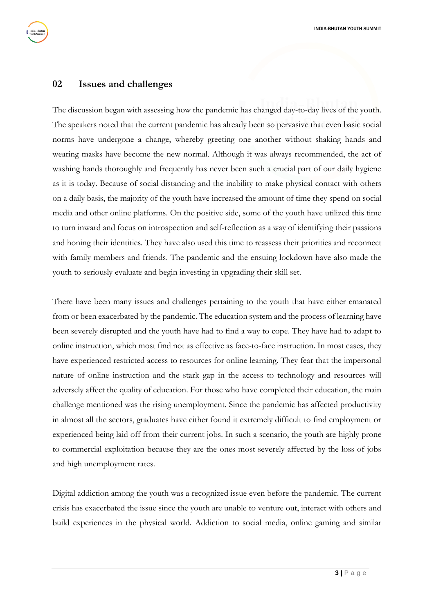#### <span id="page-3-0"></span>**02 Issues and challenges**

The discussion began with assessing how the pandemic has changed day-to-day lives of the youth. The speakers noted that the current pandemic has already been so pervasive that even basic social norms have undergone a change, whereby greeting one another without shaking hands and wearing masks have become the new normal. Although it was always recommended, the act of washing hands thoroughly and frequently has never been such a crucial part of our daily hygiene as it is today. Because of social distancing and the inability to make physical contact with others on a daily basis, the majority of the youth have increased the amount of time they spend on social media and other online platforms. On the positive side, some of the youth have utilized this time to turn inward and focus on introspection and self-reflection as a way of identifying their passions and honing their identities. They have also used this time to reassess their priorities and reconnect with family members and friends. The pandemic and the ensuing lockdown have also made the youth to seriously evaluate and begin investing in upgrading their skill set.

There have been many issues and challenges pertaining to the youth that have either emanated from or been exacerbated by the pandemic. The education system and the process of learning have been severely disrupted and the youth have had to find a way to cope. They have had to adapt to online instruction, which most find not as effective as face-to-face instruction. In most cases, they have experienced restricted access to resources for online learning. They fear that the impersonal nature of online instruction and the stark gap in the access to technology and resources will adversely affect the quality of education. For those who have completed their education, the main challenge mentioned was the rising unemployment. Since the pandemic has affected productivity in almost all the sectors, graduates have either found it extremely difficult to find employment or experienced being laid off from their current jobs. In such a scenario, the youth are highly prone to commercial exploitation because they are the ones most severely affected by the loss of jobs and high unemployment rates.

Digital addiction among the youth was a recognized issue even before the pandemic. The current crisis has exacerbated the issue since the youth are unable to venture out, interact with others and build experiences in the physical world. Addiction to social media, online gaming and similar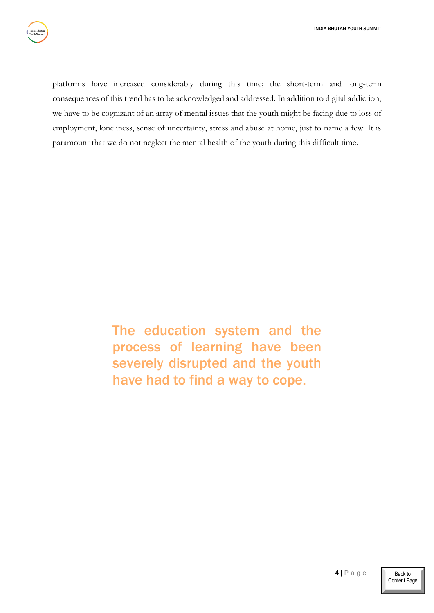platforms have increased considerably during this time; the short-term and long-term consequences of this trend has to be acknowledged and addressed. In addition to digital addiction, we have to be cognizant of an array of mental issues that the youth might be facing due to loss of employment, loneliness, sense of uncertainty, stress and abuse at home, just to name a few. It is paramount that we do not neglect the mental health of the youth during this difficult time.

> The education system and the process of learning have been severely disrupted and the youth have had to find a way to cope.

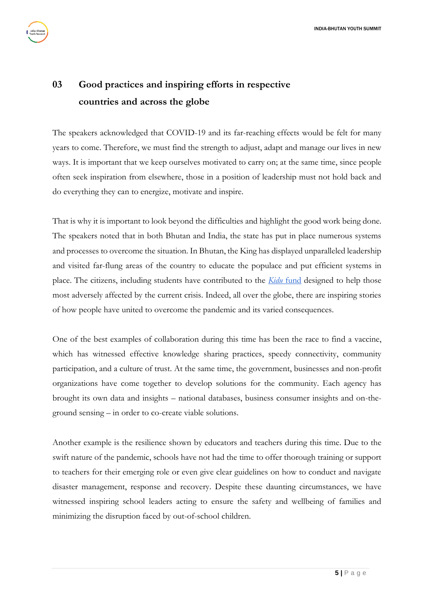## <span id="page-5-0"></span>**03 Good practices and inspiring efforts in respective countries and across the globe**

The speakers acknowledged that COVID-19 and its far-reaching effects would be felt for many years to come. Therefore, we must find the strength to adjust, adapt and manage our lives in new ways. It is important that we keep ourselves motivated to carry on; at the same time, since people often seek inspiration from elsewhere, those in a position of leadership must not hold back and do everything they can to energize, motivate and inspire.

That is why it is important to look beyond the difficulties and highlight the good work being done. The speakers noted that in both Bhutan and India, the state has put in place numerous systems and processes to overcome the situation. In Bhutan, the King has displayed unparalleled leadership and visited far-flung areas of the country to educate the populace and put efficient systems in place. The citizens, including students have contributed to the *[Kidu](https://royalkidu.bt/)* [fund](https://royalkidu.bt/) designed to help those most adversely affected by the current crisis. Indeed, all over the globe, there are inspiring stories of how people have united to overcome the pandemic and its varied consequences.

One of the best examples of collaboration during this time has been the race to find a vaccine, which has witnessed effective knowledge sharing practices, speedy connectivity, community participation, and a culture of trust. At the same time, the government, businesses and non-profit organizations have come together to develop solutions for the community. Each agency has brought its own data and insights – national databases, business consumer insights and on-theground sensing – in order to co-create viable solutions.

Another example is the resilience shown by educators and teachers during this time. Due to the swift nature of the pandemic, schools have not had the time to offer thorough training or support to teachers for their emerging role or even give clear guidelines on how to conduct and navigate disaster management, response and recovery. Despite these daunting circumstances, we have witnessed inspiring school leaders acting to ensure the safety and wellbeing of families and minimizing the disruption faced by out-of-school children.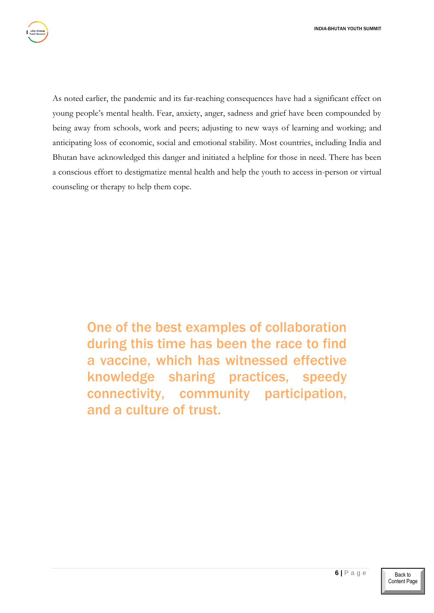As noted earlier, the pandemic and its far-reaching consequences have had a significant effect on young people's mental health. Fear, anxiety, anger, sadness and grief have been compounded by being away from schools, work and peers; adjusting to new ways of learning and working; and anticipating loss of economic, social and emotional stability. Most countries, including India and Bhutan have acknowledged this danger and initiated a helpline for those in need. There has been a conscious effort to destigmatize mental health and help the youth to access in-person or virtual counseling or therapy to help them cope.

> One of the best examples of collaboration during this time has been the race to find a vaccine, which has witnessed effective knowledge sharing practices, speedy connectivity, community participation, and a culture of trust.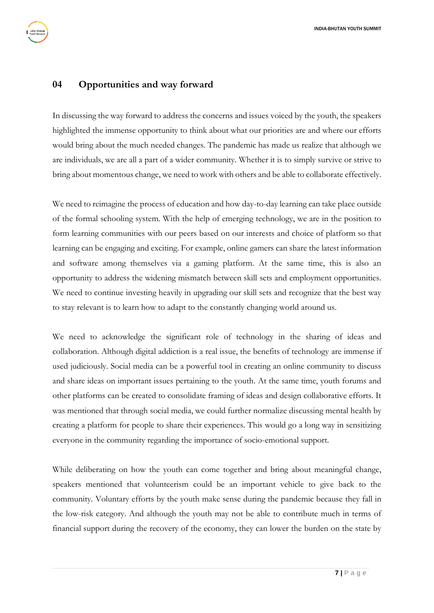#### <span id="page-7-0"></span>**04 Opportunities and way forward**

In discussing the way forward to address the concerns and issues voiced by the youth, the speakers highlighted the immense opportunity to think about what our priorities are and where our efforts would bring about the much needed changes. The pandemic has made us realize that although we are individuals, we are all a part of a wider community. Whether it is to simply survive or strive to bring about momentous change, we need to work with others and be able to collaborate effectively.

We need to reimagine the process of education and how day-to-day learning can take place outside of the formal schooling system. With the help of emerging technology, we are in the position to form learning communities with our peers based on our interests and choice of platform so that learning can be engaging and exciting. For example, online gamers can share the latest information and software among themselves via a gaming platform. At the same time, this is also an opportunity to address the widening mismatch between skill sets and employment opportunities. We need to continue investing heavily in upgrading our skill sets and recognize that the best way to stay relevant is to learn how to adapt to the constantly changing world around us.

We need to acknowledge the significant role of technology in the sharing of ideas and collaboration. Although digital addiction is a real issue, the benefits of technology are immense if used judiciously. Social media can be a powerful tool in creating an online community to discuss and share ideas on important issues pertaining to the youth. At the same time, youth forums and other platforms can be created to consolidate framing of ideas and design collaborative efforts. It was mentioned that through social media, we could further normalize discussing mental health by creating a platform for people to share their experiences. This would go a long way in sensitizing everyone in the community regarding the importance of socio-emotional support.

While deliberating on how the youth can come together and bring about meaningful change, speakers mentioned that volunteerism could be an important vehicle to give back to the community. Voluntary efforts by the youth make sense during the pandemic because they fall in the low-risk category. And although the youth may not be able to contribute much in terms of financial support during the recovery of the economy, they can lower the burden on the state by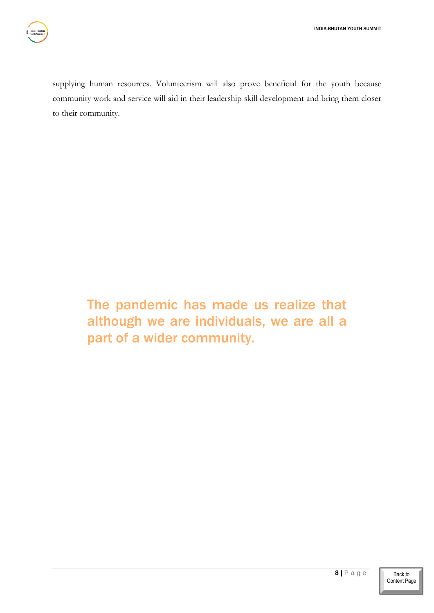supplying human resources. Volunteerism will also prove beneficial for the youth because community work and service will aid in their leadership skill development and bring them closer to their community.

> The pandemic has made us realize that although we are individuals, we are all a part of a wider community.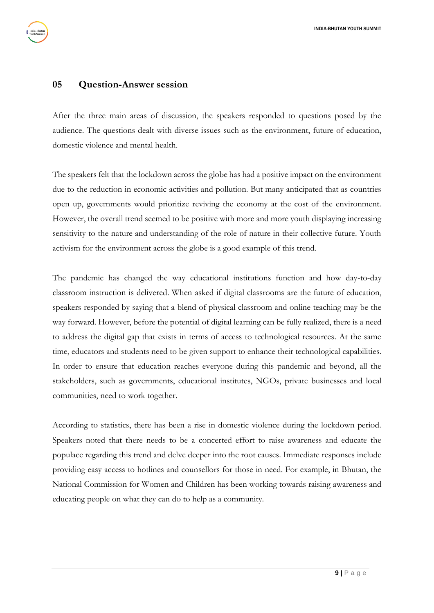#### <span id="page-9-0"></span>**05 Question-Answer session**

After the three main areas of discussion, the speakers responded to questions posed by the audience. The questions dealt with diverse issues such as the environment, future of education, domestic violence and mental health.

The speakers felt that the lockdown across the globe has had a positive impact on the environment due to the reduction in economic activities and pollution. But many anticipated that as countries open up, governments would prioritize reviving the economy at the cost of the environment. However, the overall trend seemed to be positive with more and more youth displaying increasing sensitivity to the nature and understanding of the role of nature in their collective future. Youth activism for the environment across the globe is a good example of this trend.

The pandemic has changed the way educational institutions function and how day-to-day classroom instruction is delivered. When asked if digital classrooms are the future of education, speakers responded by saying that a blend of physical classroom and online teaching may be the way forward. However, before the potential of digital learning can be fully realized, there is a need to address the digital gap that exists in terms of access to technological resources. At the same time, educators and students need to be given support to enhance their technological capabilities. In order to ensure that education reaches everyone during this pandemic and beyond, all the stakeholders, such as governments, educational institutes, NGOs, private businesses and local communities, need to work together.

According to statistics, there has been a rise in domestic violence during the lockdown period. Speakers noted that there needs to be a concerted effort to raise awareness and educate the populace regarding this trend and delve deeper into the root causes. Immediate responses include providing easy access to hotlines and counsellors for those in need. For example, in Bhutan, the National Commission for Women and Children has been working towards raising awareness and educating people on what they can do to help as a community.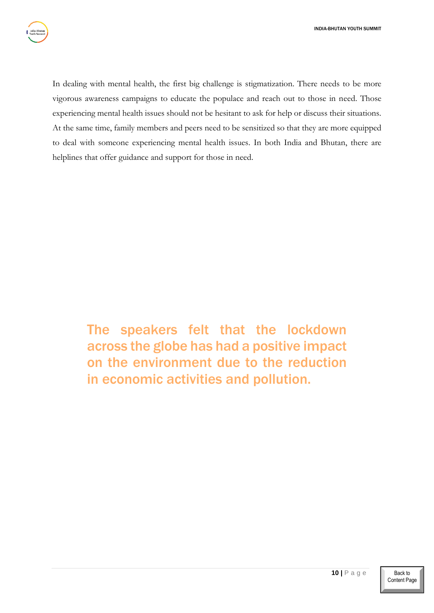In dealing with mental health, the first big challenge is stigmatization. There needs to be more vigorous awareness campaigns to educate the populace and reach out to those in need. Those experiencing mental health issues should not be hesitant to ask for help or discuss their situations. At the same time, family members and peers need to be sensitized so that they are more equipped to deal with someone experiencing mental health issues. In both India and Bhutan, there are helplines that offer guidance and support for those in need.

> The speakers felt that the lockdown across the globe has had a positive impact on the environment due to the reduction in economic activities and pollution.

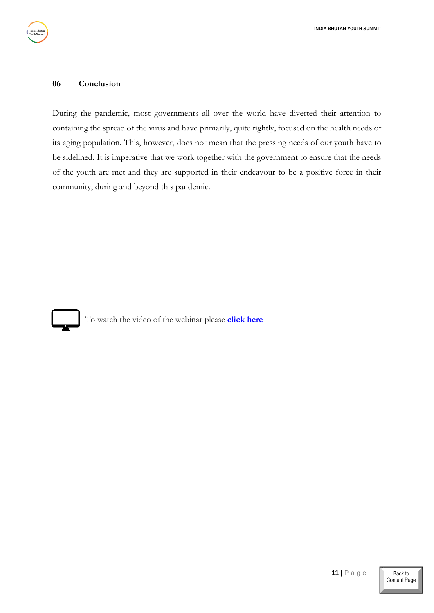#### <span id="page-11-0"></span>**06 Conclusion**

During the pandemic, most governments all over the world have diverted their attention to containing the spread of the virus and have primarily, quite rightly, focused on the health needs of its aging population. This, however, does not mean that the pressing needs of our youth have to be sidelined. It is imperative that we work together with the government to ensure that the needs of the youth are met and they are supported in their endeavour to be a positive force in their community, during and beyond this pandemic.



To watch the video of the webinar please **[click here](https://youtu.be/gGpQsmRpfi8)**